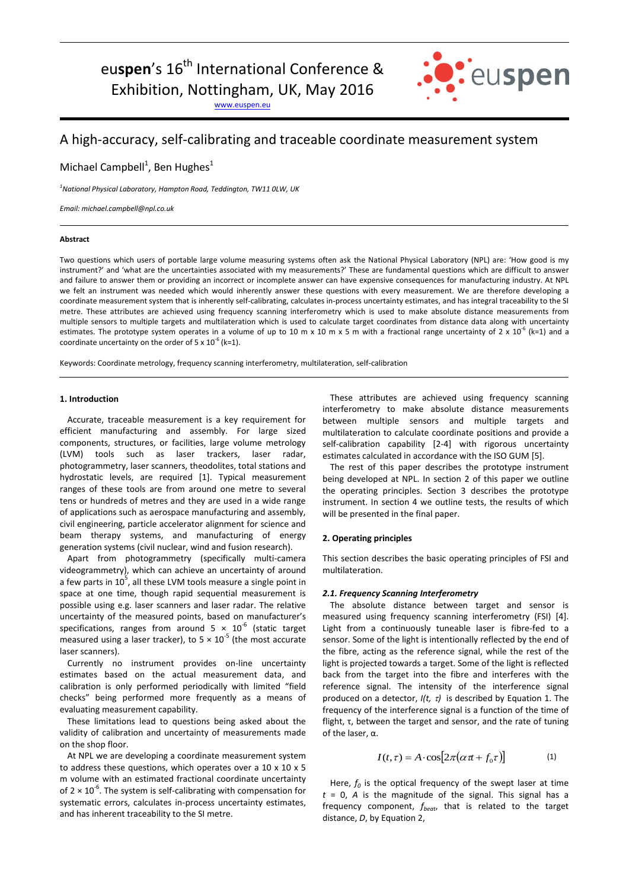eu**spen**'s 16<sup>th</sup> International Conference & Exhibition, Nottingham, UK, May 2016

[www.euspen.eu](http://www.euspen.eu/)



# A high-accuracy, self-calibrating and traceable coordinate measurement system

Michael Campbell<sup>1</sup>, Ben Hughes<sup>1</sup>

*<sup>1</sup>National Physical Laboratory, Hampton Road, Teddington, TW11 0LW, UK*

*Email: michael.campbell@npl.co.uk*

# **Abstract**

Two questions which users of portable large volume measuring systems often ask the National Physical Laboratory (NPL) are: 'How good is my instrument?' and 'what are the uncertainties associated with my measurements?' These are fundamental questions which are difficult to answer and failure to answer them or providing an incorrect or incomplete answer can have expensive consequences for manufacturing industry. At NPL we felt an instrument was needed which would inherently answer these questions with every measurement. We are therefore developing a coordinate measurement system that is inherently self-calibrating, calculates in-process uncertainty estimates, and has integral traceability to the SI metre. These attributes are achieved using frequency scanning interferometry which is used to make absolute distance measurements from multiple sensors to multiple targets and multilateration which is used to calculate target coordinates from distance data along with uncertainty estimates. The prototype system operates in a volume of up to 10 m x 10 m x 5 m with a fractional range uncertainty of 2 x 10<sup>-6</sup> (k=1) and a coordinate uncertainty on the order of 5 x  $10^{-6}$  (k=1).

Keywords: Coordinate metrology, frequency scanning interferometry, multilateration, self-calibration

## **1. Introduction**

Accurate, traceable measurement is a key requirement for efficient manufacturing and assembly. For large sized components, structures, or facilities, large volume metrology (LVM) tools such as laser trackers, laser radar, photogrammetry, laser scanners, theodolites, total stations and hydrostatic levels, are required [1]. Typical measurement ranges of these tools are from around one metre to several tens or hundreds of metres and they are used in a wide range of applications such as aerospace manufacturing and assembly, civil engineering, particle accelerator alignment for science and beam therapy systems, and manufacturing of energy generation systems (civil nuclear, wind and fusion research).

Apart from photogrammetry (specifically multi-camera videogrammetry), which can achieve an uncertainty of around a few parts in  $10^5$ , all these LVM tools measure a single point in space at one time, though rapid sequential measurement is possible using e.g. laser scanners and laser radar. The relative uncertainty of the measured points, based on manufacturer's specifications, ranges from around  $5 \times 10^{-6}$  (static target measured using a laser tracker), to  $5 \times 10^{-5}$  (the most accurate laser scanners).

Currently no instrument provides on-line uncertainty estimates based on the actual measurement data, and calibration is only performed periodically with limited "field checks" being performed more frequently as a means of evaluating measurement capability.

These limitations lead to questions being asked about the validity of calibration and uncertainty of measurements made on the shop floor.

At NPL we are developing a coordinate measurement system to address these questions, which operates over a 10 x 10 x 5 m volume with an estimated fractional coordinate uncertainty of  $2 \times 10^{-6}$ . The system is self-calibrating with compensation for systematic errors, calculates in-process uncertainty estimates, and has inherent traceability to the SI metre.

These attributes are achieved using frequency scanning interferometry to make absolute distance measurements between multiple sensors and multiple targets and multilateration to calculate coordinate positions and provide a self-calibration capability [2-4] with rigorous uncertainty estimates calculated in accordance with the ISO GUM [5].

The rest of this paper describes the prototype instrument being developed at NPL. In section 2 of this paper we outline the operating principles. Section 3 describes the prototype instrument. In section 4 we outline tests, the results of which will be presented in the final paper.

## **2. Operating principles**

This section describes the basic operating principles of FSI and multilateration.

# *2.1. Frequency Scanning Interferometry*

The absolute distance between target and sensor is measured using frequency scanning interferometry (FSI) [4]. Light from a continuously tuneable laser is fibre-fed to a sensor. Some of the light is intentionally reflected by the end of the fibre, acting as the reference signal, while the rest of the light is projected towards a target. Some of the light is reflected back from the target into the fibre and interferes with the reference signal. The intensity of the interference signal produced on a detector,  $I(t, \tau)$  is described by Equation 1. The frequency of the interference signal is a function of the time of flight, τ, between the target and sensor, and the rate of tuning of the laser, α.

$$
I(t,\tau) = A \cdot \cos[2\pi(\alpha \pi + f_0 \tau)] \tag{1}
$$

Here,  $f_0$  is the optical frequency of the swept laser at time  $t = 0$ , *A* is the magnitude of the signal. This signal has a frequency component, *fbeat*, that is related to the target distance, *D*, by Equation 2,